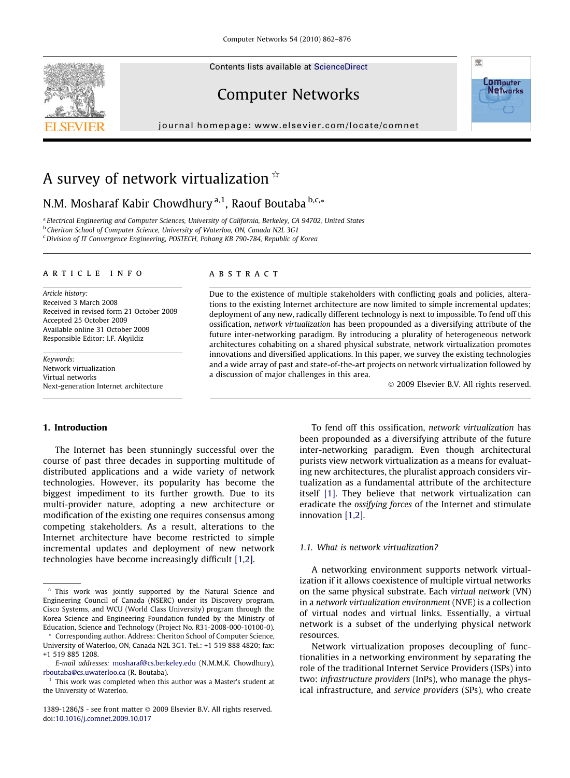Contents lists available at [ScienceDirect](http://www.sciencedirect.com/science/journal/13891286)





journal homepage: [www.elsevier.com/locate/comnet](http://www.elsevier.com/locate/comnet)



## A survey of network virtualization  $\dot{\alpha}$

### N.M. Mosharaf Kabir Chowdhury<sup>a, 1</sup>, Raouf Boutaba<sup>b, c,\*</sup>

a Electrical Engineering and Computer Sciences, University of California, Berkeley, CA 94702, United States **b** Cheriton School of Computer Science, University of Waterloo, ON, Canada N2L 3G1

 $\epsilon$ Division of IT Convergence Engineering, POSTECH, Pohang KB 790-784, Republic of Korea

#### article info

Article history: Received 3 March 2008 Received in revised form 21 October 2009 Accepted 25 October 2009 Available online 31 October 2009 Responsible Editor: I.F. Akyildiz

Keywords: Network virtualization Virtual networks Next-generation Internet architecture

#### **ABSTRACT**

Due to the existence of multiple stakeholders with conflicting goals and policies, alterations to the existing Internet architecture are now limited to simple incremental updates; deployment of any new, radically different technology is next to impossible. To fend off this ossification, network virtualization has been propounded as a diversifying attribute of the future inter-networking paradigm. By introducing a plurality of heterogeneous network architectures cohabiting on a shared physical substrate, network virtualization promotes innovations and diversified applications. In this paper, we survey the existing technologies and a wide array of past and state-of-the-art projects on network virtualization followed by a discussion of major challenges in this area.

© 2009 Elsevier B.V. All rights reserved.

#### 1. Introduction

The Internet has been stunningly successful over the course of past three decades in supporting multitude of distributed applications and a wide variety of network technologies. However, its popularity has become the biggest impediment to its further growth. Due to its multi-provider nature, adopting a new architecture or modification of the existing one requires consensus among competing stakeholders. As a result, alterations to the Internet architecture have become restricted to simple incremental updates and deployment of new network technologies have become increasingly difficult [\[1,2\].](#page--1-0)

To fend off this ossification, network virtualization has been propounded as a diversifying attribute of the future inter-networking paradigm. Even though architectural purists view network virtualization as a means for evaluating new architectures, the pluralist approach considers virtualization as a fundamental attribute of the architecture itself [\[1\]](#page--1-0). They believe that network virtualization can eradicate the ossifying forces of the Internet and stimulate innovation [\[1,2\].](#page--1-0)

#### 1.1. What is network virtualization?

A networking environment supports network virtualization if it allows coexistence of multiple virtual networks on the same physical substrate. Each virtual network (VN) in a network virtualization environment (NVE) is a collection of virtual nodes and virtual links. Essentially, a virtual network is a subset of the underlying physical network resources.

Network virtualization proposes decoupling of functionalities in a networking environment by separating the role of the traditional Internet Service Providers (ISPs) into two: infrastructure providers (InPs), who manage the physical infrastructure, and service providers (SPs), who create

 $*$  This work was jointly supported by the Natural Science and Engineering Council of Canada (NSERC) under its Discovery program, Cisco Systems, and WCU (World Class University) program through the Korea Science and Engineering Foundation funded by the Ministry of Education, Science and Technology (Project No. R31-2008-000-10100-0).

<sup>\*</sup> Corresponding author. Address: Cheriton School of Computer Science, University of Waterloo, ON, Canada N2L 3G1. Tel.: +1 519 888 4820; fax: +1 519 885 1208.

E-mail addresses: [mosharaf@cs.berkeley.edu](mailto:mosharaf@cs.berkeley.edu) (N.M.M.K. Chowdhury), [rboutaba@cs.uwaterloo.ca](mailto:rboutaba@cs.uwaterloo.ca) (R. Boutaba).

 $1$  This work was completed when this author was a Master's student at the University of Waterloo.

<sup>1389-1286/\$ -</sup> see front matter  $\odot$  2009 Elsevier B.V. All rights reserved. doi[:10.1016/j.comnet.2009.10.017](http://dx.doi.org/10.1016/j.comnet.2009.10.017)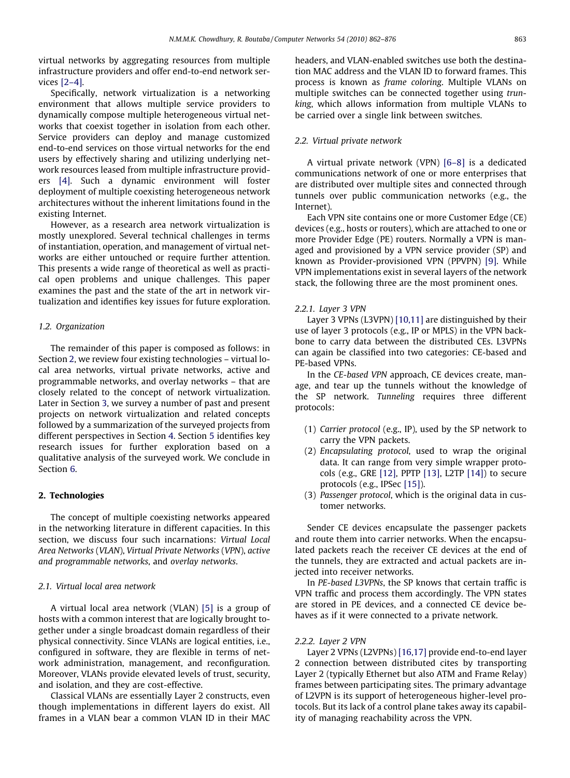virtual networks by aggregating resources from multiple infrastructure providers and offer end-to-end network services [\[2–4\]](#page--1-0).

Specifically, network virtualization is a networking environment that allows multiple service providers to dynamically compose multiple heterogeneous virtual networks that coexist together in isolation from each other. Service providers can deploy and manage customized end-to-end services on those virtual networks for the end users by effectively sharing and utilizing underlying network resources leased from multiple infrastructure providers [\[4\]](#page--1-0). Such a dynamic environment will foster deployment of multiple coexisting heterogeneous network architectures without the inherent limitations found in the existing Internet.

However, as a research area network virtualization is mostly unexplored. Several technical challenges in terms of instantiation, operation, and management of virtual networks are either untouched or require further attention. This presents a wide range of theoretical as well as practical open problems and unique challenges. This paper examines the past and the state of the art in network virtualization and identifies key issues for future exploration.

#### 1.2. Organization

The remainder of this paper is composed as follows: in Section 2, we review four existing technologies – virtual local area networks, virtual private networks, active and programmable networks, and overlay networks – that are closely related to the concept of network virtualization. Later in Section 3, we survey a number of past and present projects on network virtualization and related concepts followed by a summarization of the surveyed projects from different perspectives in Section 4. Section 5 identifies key research issues for further exploration based on a qualitative analysis of the surveyed work. We conclude in Section 6.

#### 2. Technologies

The concept of multiple coexisting networks appeared in the networking literature in different capacities. In this section, we discuss four such incarnations: Virtual Local Area Networks (VLAN), Virtual Private Networks (VPN), active and programmable networks, and overlay networks.

#### 2.1. Virtual local area network

A virtual local area network (VLAN) [\[5\]](#page--1-0) is a group of hosts with a common interest that are logically brought together under a single broadcast domain regardless of their physical connectivity. Since VLANs are logical entities, i.e., configured in software, they are flexible in terms of network administration, management, and reconfiguration. Moreover, VLANs provide elevated levels of trust, security, and isolation, and they are cost-effective.

Classical VLANs are essentially Layer 2 constructs, even though implementations in different layers do exist. All frames in a VLAN bear a common VLAN ID in their MAC

headers, and VLAN-enabled switches use both the destination MAC address and the VLAN ID to forward frames. This process is known as frame coloring. Multiple VLANs on multiple switches can be connected together using trunking, which allows information from multiple VLANs to be carried over a single link between switches.

#### 2.2. Virtual private network

A virtual private network (VPN) [\[6–8\]](#page--1-0) is a dedicated communications network of one or more enterprises that are distributed over multiple sites and connected through tunnels over public communication networks (e.g., the Internet).

Each VPN site contains one or more Customer Edge (CE) devices (e.g., hosts or routers), which are attached to one or more Provider Edge (PE) routers. Normally a VPN is managed and provisioned by a VPN service provider (SP) and known as Provider-provisioned VPN (PPVPN) [\[9\]](#page--1-0). While VPN implementations exist in several layers of the network stack, the following three are the most prominent ones.

#### 2.2.1. Layer 3 VPN

Layer 3 VPNs (L3VPN) [\[10,11\]](#page--1-0) are distinguished by their use of layer 3 protocols (e.g., IP or MPLS) in the VPN backbone to carry data between the distributed CEs. L3VPNs can again be classified into two categories: CE-based and PE-based VPNs.

In the CE-based VPN approach, CE devices create, manage, and tear up the tunnels without the knowledge of the SP network. Tunneling requires three different protocols:

- (1) Carrier protocol (e.g., IP), used by the SP network to carry the VPN packets.
- (2) Encapsulating protocol, used to wrap the original data. It can range from very simple wrapper protocols (e.g., GRE [\[12\]](#page--1-0), PPTP [\[13\]](#page--1-0), L2TP [\[14\]\)](#page--1-0) to secure protocols (e.g., IPSec [\[15\]](#page--1-0)).
- (3) Passenger protocol, which is the original data in customer networks.

Sender CE devices encapsulate the passenger packets and route them into carrier networks. When the encapsulated packets reach the receiver CE devices at the end of the tunnels, they are extracted and actual packets are injected into receiver networks.

In PE-based L3VPNs, the SP knows that certain traffic is VPN traffic and process them accordingly. The VPN states are stored in PE devices, and a connected CE device behaves as if it were connected to a private network.

#### 2.2.2. Layer 2 VPN

Layer 2 VPNs (L2VPNs) [\[16,17\]](#page--1-0) provide end-to-end layer 2 connection between distributed cites by transporting Layer 2 (typically Ethernet but also ATM and Frame Relay) frames between participating sites. The primary advantage of L2VPN is its support of heterogeneous higher-level protocols. But its lack of a control plane takes away its capability of managing reachability across the VPN.